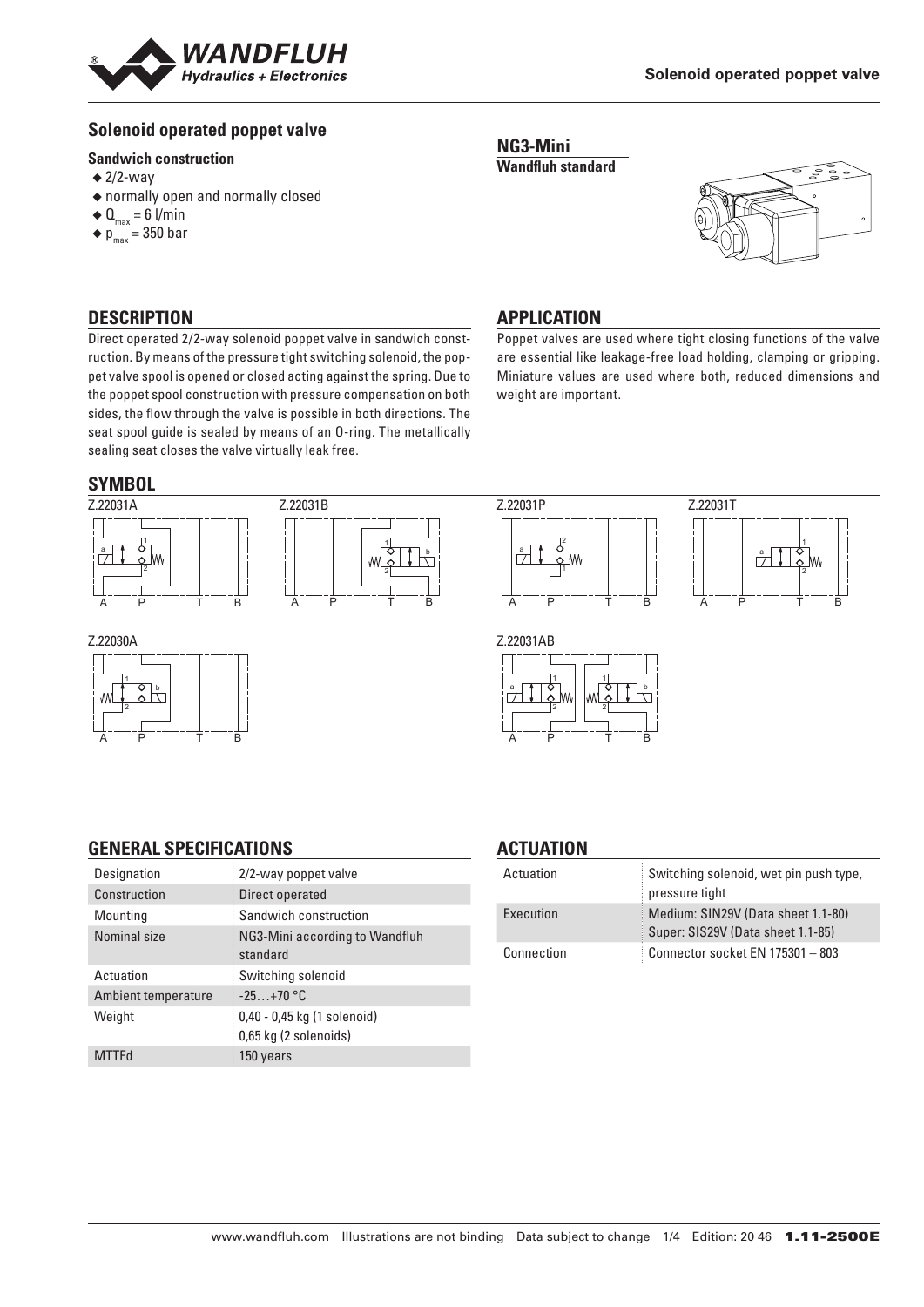

# **Solenoid operated poppet valve**

#### **Sandwich construction**

- $\triangleq$  2/2-way
- ◆ normally open and normally closed
- $\triangleleft$  Q<sub>max</sub> = 6 l/min
- $\bullet$  p<sub>max</sub> = 350 bar

# **DESCRIPTION**

Direct operated 2/2-way solenoid poppet valve in sandwich construction. By means of the pressure tight switching solenoid, the poppet valve spool is opened or closed acting against the spring. Due to the poppet spool construction with pressure compensation on both sides, the flow through the valve is possible in both directions. The seat spool guide is sealed by means of an O-ring. The metallically sealing seat closes the valve virtually leak free.

# **APPLICATION**

**NG3-Mini Wandfluh standard**

Poppet valves are used where tight closing functions of the valve are essential like leakage-free load holding, clamping or gripping. Miniature values are used where both, reduced dimensions and weight are important.

# **SYMBOL**









#### Z.22030A



#### Z.22031AB 1 1 a | 4 | 0 | | | | 0 | 4 | b  $\overline{\phantom{a}}$ 2 2 A P T B

### **GENERAL SPECIFICATIONS**

| Designation         | 2/2-way poppet valve                                 |
|---------------------|------------------------------------------------------|
| Construction        | Direct operated                                      |
| Mounting            | Sandwich construction                                |
| Nominal size        | NG3-Mini according to Wandfluh<br>standard           |
| Actuation           | Switching solenoid                                   |
| Ambient temperature | $-25+70$ °C                                          |
| Weight              | 0,40 - 0,45 kg (1 solenoid)<br>0,65 kg (2 solenoids) |
| <b>MTTFd</b>        | 150 years                                            |

# **ACTUATION**

| Actuation  | Switching solenoid, wet pin push type,<br>pressure tight                |
|------------|-------------------------------------------------------------------------|
| Execution  | Medium: SIN29V (Data sheet 1.1-80)<br>Super: SIS29V (Data sheet 1.1-85) |
| Connection | Connector socket EN 175301 - 803                                        |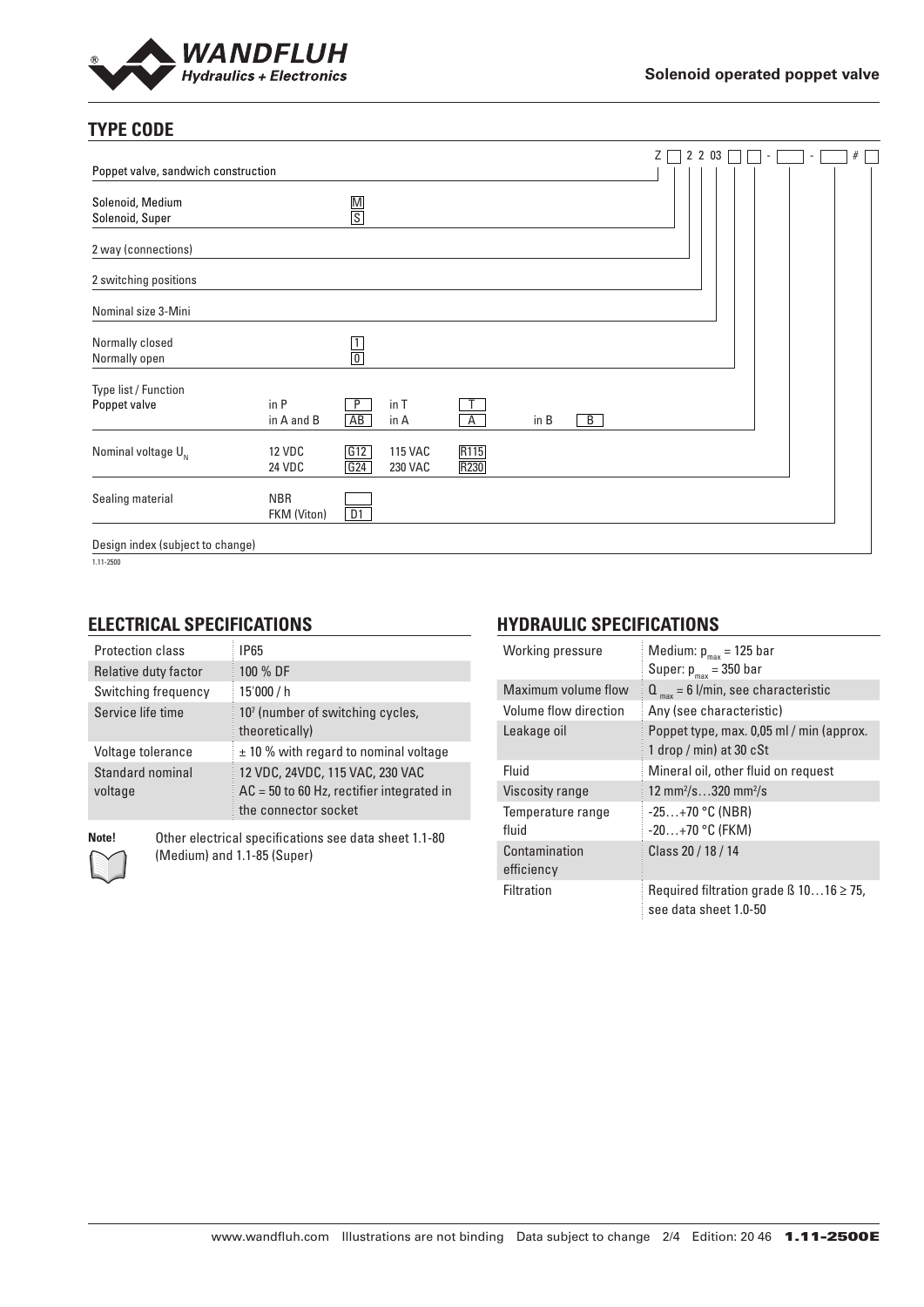

# **TYPE CODE**

|                                      |                                |               |                           |                |      |                | Ζ | 2 2 0 3 |  | $\sim$ | ٠ | # |
|--------------------------------------|--------------------------------|---------------|---------------------------|----------------|------|----------------|---|---------|--|--------|---|---|
| Poppet valve, sandwich construction  |                                |               |                           |                |      |                |   |         |  |        |   |   |
| Solenoid, Medium<br>Solenoid, Super  |                                | $\frac{M}{S}$ |                           |                |      |                |   |         |  |        |   |   |
| 2 way (connections)                  |                                |               |                           |                |      |                |   |         |  |        |   |   |
| 2 switching positions                |                                |               |                           |                |      |                |   |         |  |        |   |   |
| Nominal size 3-Mini                  |                                |               |                           |                |      |                |   |         |  |        |   |   |
| Normally closed<br>Normally open     |                                | $\frac{1}{0}$ |                           |                |      |                |   |         |  |        |   |   |
| Type list / Function<br>Poppet valve | in P<br>in A and B             | P<br>AB       | in T<br>in A              | $\overline{A}$ | in B | $\overline{B}$ |   |         |  |        |   |   |
| Nominal voltage $U_{N}$              | <b>12 VDC</b><br><b>24 VDC</b> | G12<br>G24    | <b>115 VAC</b><br>230 VAC | R115<br>R230   |      |                |   |         |  |        |   |   |
| Sealing material                     | <b>NBR</b><br>FKM (Viton)      | D1            |                           |                |      |                |   |         |  |        |   |   |
| Design index (subject to change)     |                                |               |                           |                |      |                |   |         |  |        |   |   |

1.11-2500

## **ELECTRICAL SPECIFICATIONS**

| Protection class            | IP65                                                                                                   |
|-----------------------------|--------------------------------------------------------------------------------------------------------|
| Relative duty factor        | 100 % DF                                                                                               |
| Switching frequency         | 15'000 / h                                                                                             |
| Service life time           | 10 <sup>7</sup> (number of switching cycles,<br>theoretically)                                         |
| Voltage tolerance           | $\pm$ 10 % with regard to nominal voltage                                                              |
| Standard nominal<br>voltage | 12 VDC, 24VDC, 115 VAC, 230 VAC<br>$AC = 50$ to 60 Hz, rectifier integrated in<br>the connector socket |

**Note!** Other electrical specifications see data sheet 1.1-80 (Medium) and 1.1-85 (Super)

# **HYDRAULIC SPECIFICATIONS**

| Working pressure            | Medium: $p_{max}$ = 125 bar<br>Super: $p_{max}$ = 350 bar                  |
|-----------------------------|----------------------------------------------------------------------------|
| Maximum volume flow         | $Q_{max} = 6$ l/min, see characteristic                                    |
| Volume flow direction       | Any (see characteristic)                                                   |
| Leakage oil                 | Poppet type, max. 0,05 ml / min (approx.<br>1 drop / min) at 30 $cSt$      |
| Fluid                       | Mineral oil, other fluid on request                                        |
| <b>Viscosity range</b>      | 12 mm <sup>2</sup> /s320 mm <sup>2</sup> /s                                |
| Temperature range<br>fluid  | $-25+70$ °C (NBR)<br>$-20+70$ °C (FKM)                                     |
| Contamination<br>efficiency | Class 20 / 18 / 14                                                         |
| Filtration                  | Required filtration grade $\beta$ 1016 $\geq$ 75,<br>see data sheet 1.0-50 |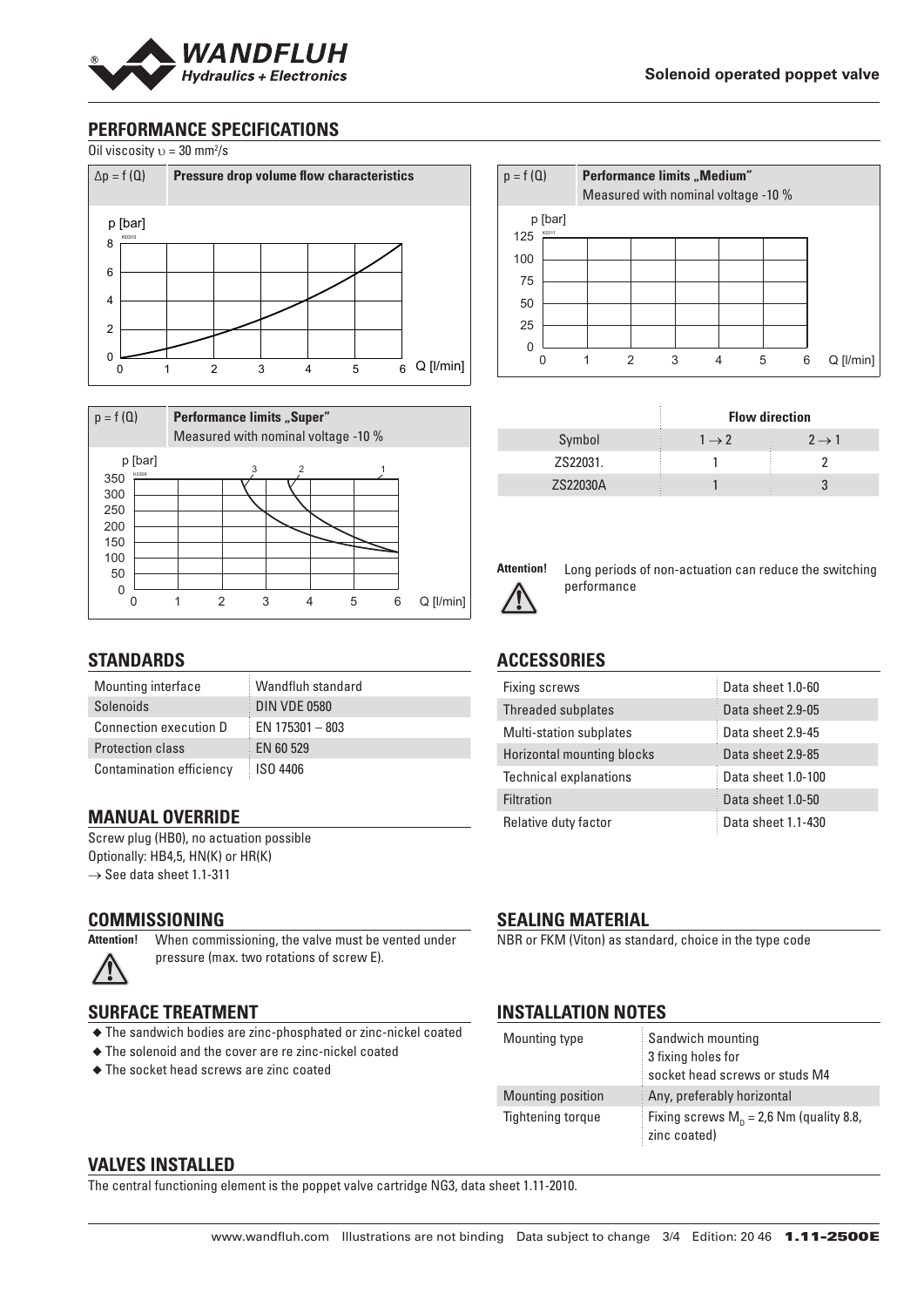

# **PERFORMANCE SPECIFICATIONS**

Oil viscosity  $v = 30$  mm<sup>2</sup>/s





## **STANDARDS**

| Mounting interface            | Wandfluh standard   |
|-------------------------------|---------------------|
| Solenoids                     | <b>DIN VDE 0580</b> |
| <b>Connection execution D</b> | EN $175301 - 803$   |
| <b>Protection class</b>       | EN 60 529           |
| Contamination efficiency      | ISO 4406            |

### **MANUAL OVERRIDE**

Screw plug (HB0), no actuation possible Optionally: HB4,5, HN(K) or HR(K)  $\rightarrow$  See data sheet 1.1-311

#### **COMMISSIONING**

**SURFACE TREATMENT**

**Attention!** When commissioning, the valve must be vented under

pressure (max. two rotations of screw E).

◆ The sandwich bodies are zinc-phosphated or zinc-nickel coated

◆ The solenoid and the cover are re zinc-nickel coated

◆ The socket head screws are zinc coated

**SEALING MATERIAL**

NBR or FKM (Viton) as standard, choice in the type code

# **INSTALLATION NOTES**

| Mounting type            | Sandwich mounting<br>3 fixing holes for<br>socket head screws or studs M4 |
|--------------------------|---------------------------------------------------------------------------|
| Mounting position        | Any, preferably horizontal                                                |
| <b>Tightening torque</b> | Fixing screws $M_p = 2.6$ Nm (quality 8.8,<br>zinc coated)                |

### **VALVES INSTALLED**

The central functioning element is the poppet valve cartridge NG3, data sheet 1.11-2010.

| $p = f(Q)$ |                  |   | <b>Performance limits "Medium"</b> |   | Measured with nominal voltage -10 % |   |                 |
|------------|------------------|---|------------------------------------|---|-------------------------------------|---|-----------------|
| 125        | p [bar]<br>K0311 |   |                                    |   |                                     |   |                 |
|            |                  |   |                                    |   |                                     |   |                 |
| 100        |                  |   |                                    |   |                                     |   |                 |
| 75         |                  |   |                                    |   |                                     |   |                 |
|            |                  |   |                                    |   |                                     |   |                 |
| 50         |                  |   |                                    |   |                                     |   |                 |
| 25         |                  |   |                                    |   |                                     |   |                 |
| $\Omega$   |                  |   |                                    |   |                                     |   |                 |
|            |                  | 2 | 3                                  | 4 | 5                                   | 6 | $Q$ [ $l/min$ ] |

|          | <b>Flow direction</b> |                   |
|----------|-----------------------|-------------------|
| Symbol   | $1 \rightarrow 2$     | $2 \rightarrow 1$ |
| ZS22031. |                       |                   |
| 7S22030A |                       |                   |



**Attention!** Long periods of non-actuation can reduce the switching performance

### **ACCESSORIES**

| <b>Fixing screws</b>              | Data sheet 1.0-60  |
|-----------------------------------|--------------------|
| Threaded subplates                | Data sheet 2.9-05  |
| Multi-station subplates           | Data sheet 2.9-45  |
| <b>Horizontal mounting blocks</b> | Data sheet 2.9-85  |
| <b>Technical explanations</b>     | Data sheet 1.0-100 |
| <b>Filtration</b>                 | Data sheet 1.0-50  |
| Relative duty factor              | Data sheet 1.1-430 |